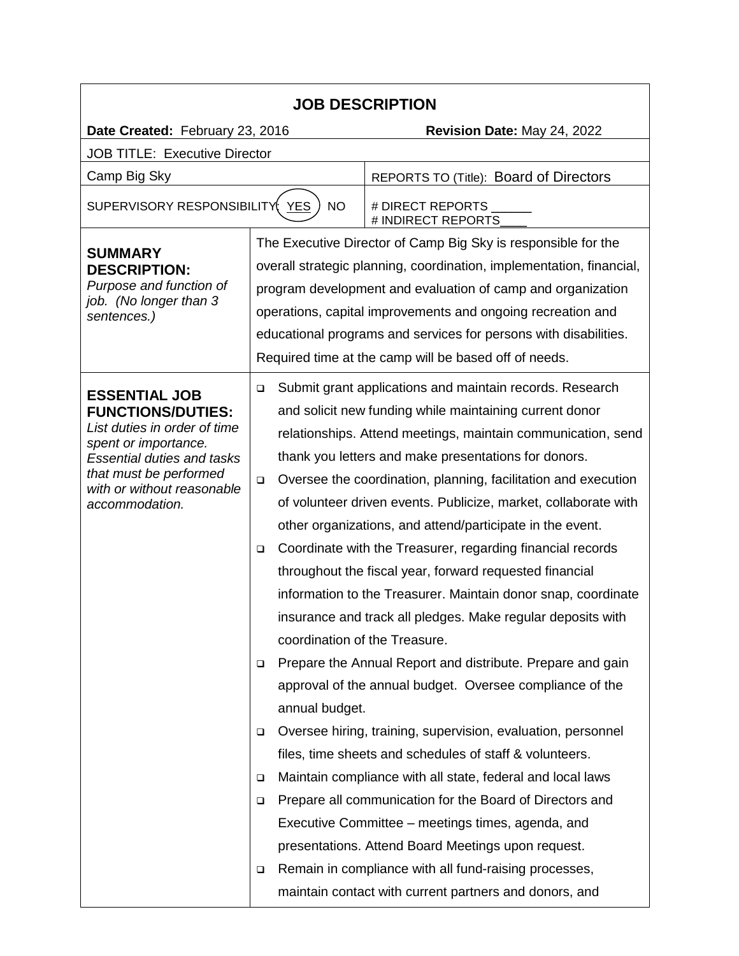| <b>JOB DESCRIPTION</b>                                                                                                                                                                                                  |                                                                          |                                                                 |  |  |
|-------------------------------------------------------------------------------------------------------------------------------------------------------------------------------------------------------------------------|--------------------------------------------------------------------------|-----------------------------------------------------------------|--|--|
| Date Created: February 23, 2016                                                                                                                                                                                         |                                                                          | Revision Date: May 24, 2022                                     |  |  |
| <b>JOB TITLE: Executive Director</b>                                                                                                                                                                                    |                                                                          |                                                                 |  |  |
| Camp Big Sky                                                                                                                                                                                                            |                                                                          | REPORTS TO (Title): Board of Directors                          |  |  |
| SUPERVISORY RESPONSIBILITY YES<br><b>NO</b>                                                                                                                                                                             |                                                                          | # DIRECT REPORTS<br># INDIRECT REPORTS                          |  |  |
| <b>SUMMARY</b><br><b>DESCRIPTION:</b><br>Purpose and function of<br>job. (No longer than 3<br>sentences.)                                                                                                               |                                                                          | The Executive Director of Camp Big Sky is responsible for the   |  |  |
|                                                                                                                                                                                                                         | overall strategic planning, coordination, implementation, financial,     |                                                                 |  |  |
|                                                                                                                                                                                                                         | program development and evaluation of camp and organization              |                                                                 |  |  |
|                                                                                                                                                                                                                         | operations, capital improvements and ongoing recreation and              |                                                                 |  |  |
|                                                                                                                                                                                                                         | educational programs and services for persons with disabilities.         |                                                                 |  |  |
|                                                                                                                                                                                                                         |                                                                          | Required time at the camp will be based off of needs.           |  |  |
| <b>ESSENTIAL JOB</b><br><b>FUNCTIONS/DUTIES:</b><br>List duties in order of time<br>spent or importance.<br><b>Essential duties and tasks</b><br>that must be performed<br>with or without reasonable<br>accommodation. | $\Box$                                                                   | Submit grant applications and maintain records. Research        |  |  |
|                                                                                                                                                                                                                         | and solicit new funding while maintaining current donor                  |                                                                 |  |  |
|                                                                                                                                                                                                                         |                                                                          | relationships. Attend meetings, maintain communication, send    |  |  |
|                                                                                                                                                                                                                         |                                                                          | thank you letters and make presentations for donors.            |  |  |
|                                                                                                                                                                                                                         | Oversee the coordination, planning, facilitation and execution<br>$\Box$ |                                                                 |  |  |
|                                                                                                                                                                                                                         |                                                                          | of volunteer driven events. Publicize, market, collaborate with |  |  |
|                                                                                                                                                                                                                         |                                                                          | other organizations, and attend/participate in the event.       |  |  |
|                                                                                                                                                                                                                         | $\Box$                                                                   | Coordinate with the Treasurer, regarding financial records      |  |  |
|                                                                                                                                                                                                                         |                                                                          | throughout the fiscal year, forward requested financial         |  |  |
|                                                                                                                                                                                                                         |                                                                          | information to the Treasurer. Maintain donor snap, coordinate   |  |  |
|                                                                                                                                                                                                                         |                                                                          | insurance and track all pledges. Make regular deposits with     |  |  |
|                                                                                                                                                                                                                         | coordination of the Treasure.                                            |                                                                 |  |  |
|                                                                                                                                                                                                                         | $\Box$                                                                   | Prepare the Annual Report and distribute. Prepare and gain      |  |  |
|                                                                                                                                                                                                                         |                                                                          | approval of the annual budget. Oversee compliance of the        |  |  |
|                                                                                                                                                                                                                         | annual budget.                                                           |                                                                 |  |  |
|                                                                                                                                                                                                                         | $\Box$                                                                   | Oversee hiring, training, supervision, evaluation, personnel    |  |  |
|                                                                                                                                                                                                                         |                                                                          | files, time sheets and schedules of staff & volunteers.         |  |  |
|                                                                                                                                                                                                                         | ▫                                                                        | Maintain compliance with all state, federal and local laws      |  |  |
|                                                                                                                                                                                                                         | ▫                                                                        | Prepare all communication for the Board of Directors and        |  |  |
|                                                                                                                                                                                                                         |                                                                          | Executive Committee – meetings times, agenda, and               |  |  |
|                                                                                                                                                                                                                         |                                                                          | presentations. Attend Board Meetings upon request.              |  |  |
|                                                                                                                                                                                                                         | □                                                                        | Remain in compliance with all fund-raising processes,           |  |  |
|                                                                                                                                                                                                                         |                                                                          | maintain contact with current partners and donors, and          |  |  |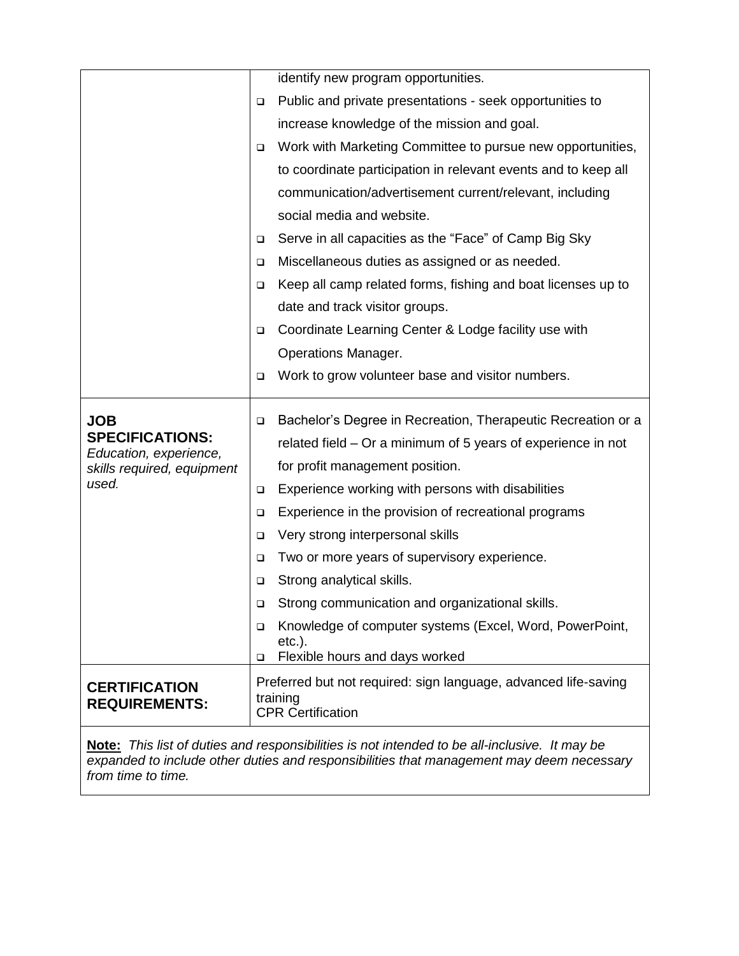|                                                  |        | identify new program opportunities.                                         |
|--------------------------------------------------|--------|-----------------------------------------------------------------------------|
|                                                  | $\Box$ | Public and private presentations - seek opportunities to                    |
|                                                  |        | increase knowledge of the mission and goal.                                 |
|                                                  | □      | Work with Marketing Committee to pursue new opportunities,                  |
|                                                  |        | to coordinate participation in relevant events and to keep all              |
|                                                  |        | communication/advertisement current/relevant, including                     |
|                                                  |        | social media and website.                                                   |
|                                                  | ❏      | Serve in all capacities as the "Face" of Camp Big Sky                       |
|                                                  | ❏      | Miscellaneous duties as assigned or as needed.                              |
|                                                  | □      | Keep all camp related forms, fishing and boat licenses up to                |
|                                                  |        | date and track visitor groups.                                              |
|                                                  | □      | Coordinate Learning Center & Lodge facility use with                        |
|                                                  |        | <b>Operations Manager.</b>                                                  |
|                                                  | □      | Work to grow volunteer base and visitor numbers.                            |
|                                                  |        |                                                                             |
| <b>JOB</b>                                       | ❏      | Bachelor's Degree in Recreation, Therapeutic Recreation or a                |
| <b>SPECIFICATIONS:</b><br>Education, experience, |        | related field – Or a minimum of 5 years of experience in not                |
| skills required, equipment                       |        | for profit management position.                                             |
| used.                                            | □      | Experience working with persons with disabilities                           |
|                                                  | □      | Experience in the provision of recreational programs                        |
|                                                  | ❏      | Very strong interpersonal skills                                            |
|                                                  | □      | Two or more years of supervisory experience.                                |
|                                                  | □      | Strong analytical skills.                                                   |
|                                                  |        | Strong communication and organizational skills                              |
|                                                  | o.     |                                                                             |
|                                                  | $\Box$ | Knowledge of computer systems (Excel, Word, PowerPoint,                     |
|                                                  | □      | $etc.$ ).<br>Flexible hours and days worked                                 |
| <b>CERTIFICATION</b><br><b>REQUIREMENTS:</b>     |        | Preferred but not required: sign language, advanced life-saving<br>training |
|                                                  |        | <b>CPR Certification</b>                                                    |

**Note:** *This list of duties and responsibilities is not intended to be all-inclusive. It may be expanded to include other duties and responsibilities that management may deem necessary from time to time.*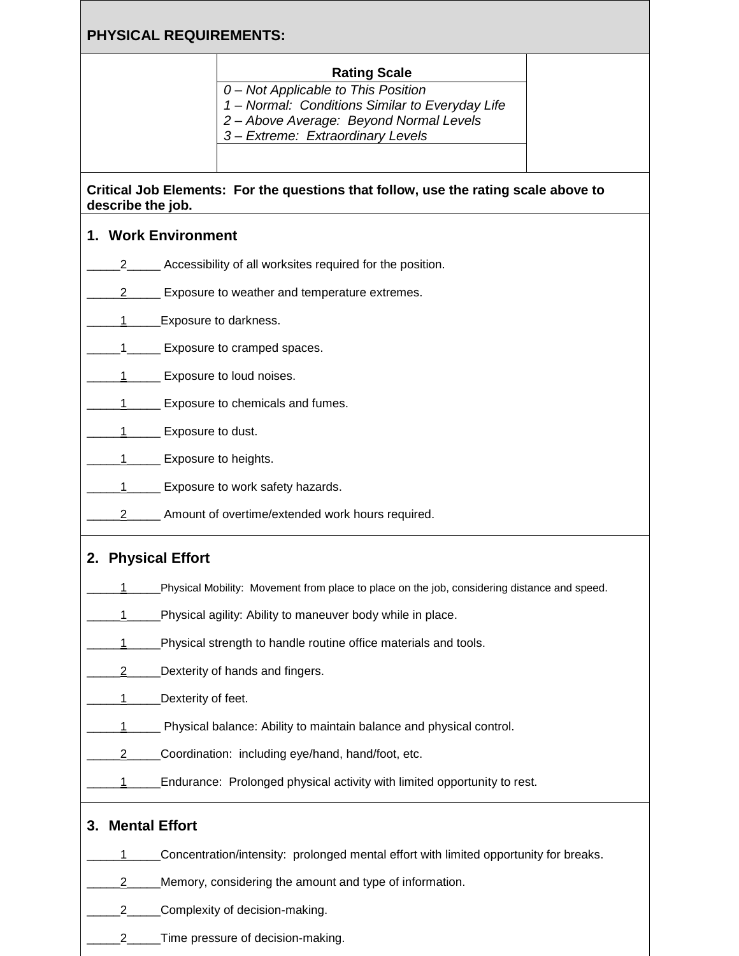# **PHYSICAL REQUIREMENTS:**

#### **Rating Scale**

*0 – Not Applicable to This Position*

*1 – Normal: Conditions Similar to Everyday Life*

*2 – Above Average: Beyond Normal Levels*

*3 – Extreme: Extraordinary Levels*

### **Critical Job Elements: For the questions that follow, use the rating scale above to describe the job.**

## **1. Work Environment**

- \_\_\_\_\_2\_\_\_\_\_ Accessibility of all worksites required for the position.
- 2\_\_\_\_\_\_ Exposure to weather and temperature extremes.
- 1 Exposure to darkness.
- 1\_\_\_\_\_ Exposure to cramped spaces.
- 1\_\_\_\_\_\_\_ Exposure to loud noises.
- 1 Exposure to chemicals and fumes.
- 1 Exposure to dust.
- 1 Exposure to heights.
- 1\_\_\_\_\_\_\_ Exposure to work safety hazards.
- 2\_\_\_\_\_\_ Amount of overtime/extended work hours required.

## **2. Physical Effort**

- 1\_\_\_\_\_Physical Mobility: Movement from place to place on the job, considering distance and speed.
- 1\_\_\_\_\_Physical agility: Ability to maneuver body while in place.
- 1\_\_\_\_\_Physical strength to handle routine office materials and tools.
- 2\_\_\_\_\_\_Dexterity of hands and fingers.
- 1 Dexterity of feet.
- 1 Physical balance: Ability to maintain balance and physical control.
- 2\_\_\_\_\_\_Coordination: including eye/hand, hand/foot, etc.
- 1\_\_\_\_\_\_Endurance: Prolonged physical activity with limited opportunity to rest.

## **3. Mental Effort**

- 1\_\_\_\_\_Concentration/intensity: prolonged mental effort with limited opportunity for breaks.
- 2\_\_\_\_\_Memory, considering the amount and type of information.
- 2\_\_\_\_\_Complexity of decision-making.
- 2\_\_\_\_\_Time pressure of decision-making.